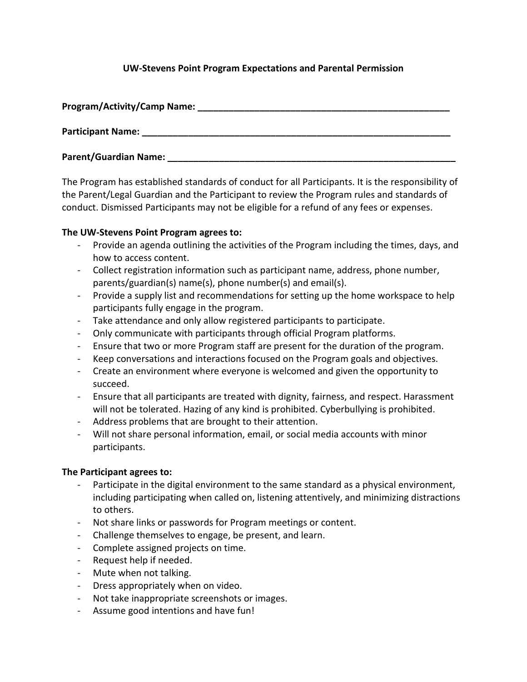## **UW-Stevens Point Program Expectations and Parental Permission**

| <b>Program/Activity/Camp Name:</b> |  |
|------------------------------------|--|
| <b>Participant Name:</b>           |  |
| <b>Parent/Guardian Name:</b>       |  |

The Program has established standards of conduct for all Participants. It is the responsibility of the Parent/Legal Guardian and the Participant to review the Program rules and standards of conduct. Dismissed Participants may not be eligible for a refund of any fees or expenses.

#### **The UW-Stevens Point Program agrees to:**

- Provide an agenda outlining the activities of the Program including the times, days, and how to access content.
- Collect registration information such as participant name, address, phone number, parents/guardian(s) name(s), phone number(s) and email(s).
- Provide a supply list and recommendations for setting up the home workspace to help participants fully engage in the program.
- Take attendance and only allow registered participants to participate.
- Only communicate with participants through official Program platforms.
- Ensure that two or more Program staff are present for the duration of the program.
- Keep conversations and interactions focused on the Program goals and objectives.
- Create an environment where everyone is welcomed and given the opportunity to succeed.
- Ensure that all participants are treated with dignity, fairness, and respect. Harassment will not be tolerated. Hazing of any kind is prohibited. Cyberbullying is prohibited.
- Address problems that are brought to their attention.
- Will not share personal information, email, or social media accounts with minor participants.

# **The Participant agrees to:**

- Participate in the digital environment to the same standard as a physical environment, including participating when called on, listening attentively, and minimizing distractions to others.
- Not share links or passwords for Program meetings or content.
- Challenge themselves to engage, be present, and learn.
- Complete assigned projects on time.
- Request help if needed.
- Mute when not talking.
- Dress appropriately when on video.
- Not take inappropriate screenshots or images.
- Assume good intentions and have fun!